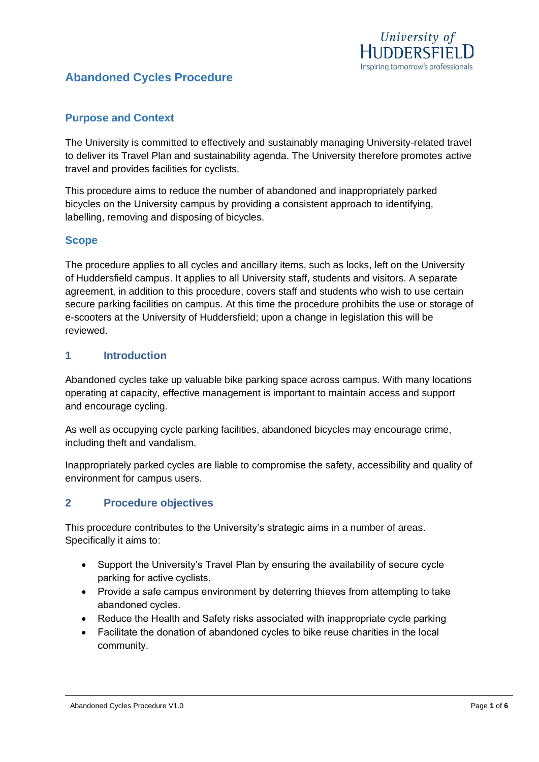

# **Abandoned Cycles Procedure**

#### **Purpose and Context**

The University is committed to effectively and sustainably managing University-related travel to deliver its Travel Plan and sustainability agenda. The University therefore promotes active travel and provides facilities for cyclists.

This procedure aims to reduce the number of abandoned and inappropriately parked bicycles on the University campus by providing a consistent approach to identifying, labelling, removing and disposing of bicycles.

#### **Scope**

The procedure applies to all cycles and ancillary items, such as locks, left on the University of Huddersfield campus. It applies to all University staff, students and visitors. A separate agreement, in addition to this procedure, covers staff and students who wish to use certain secure parking facilities on campus. At this time the procedure prohibits the use or storage of e-scooters at the University of Huddersfield; upon a change in legislation this will be reviewed.

#### **1 Introduction**

Abandoned cycles take up valuable bike parking space across campus. With many locations operating at capacity, effective management is important to maintain access and support and encourage cycling.

As well as occupying cycle parking facilities, abandoned bicycles may encourage crime, including theft and vandalism.

Inappropriately parked cycles are liable to compromise the safety, accessibility and quality of environment for campus users.

#### **2 Procedure objectives**

This procedure contributes to the University's strategic aims in a number of areas. Specifically it aims to:

- Support the University's Travel Plan by ensuring the availability of secure cycle parking for active cyclists.
- Provide a safe campus environment by deterring thieves from attempting to take abandoned cycles.
- Reduce the Health and Safety risks associated with inappropriate cycle parking
- Facilitate the donation of abandoned cycles to bike reuse charities in the local community.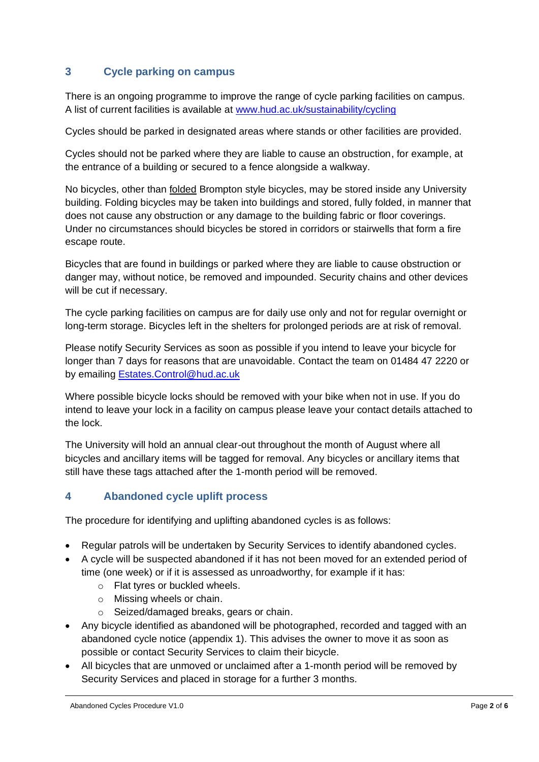# **3 Cycle parking on campus**

There is an ongoing programme to improve the range of cycle parking facilities on campus. A list of current facilities is available at [www.hud.ac.uk/sustainability/cycling](http://www.hud.ac.uk/sustainability/cycling)

Cycles should be parked in designated areas where stands or other facilities are provided.

Cycles should not be parked where they are liable to cause an obstruction, for example, at the entrance of a building or secured to a fence alongside a walkway.

No bicycles, other than folded Brompton style bicycles, may be stored inside any University building. Folding bicycles may be taken into buildings and stored, fully folded, in manner that does not cause any obstruction or any damage to the building fabric or floor coverings. Under no circumstances should bicycles be stored in corridors or stairwells that form a fire escape route.

Bicycles that are found in buildings or parked where they are liable to cause obstruction or danger may, without notice, be removed and impounded. Security chains and other devices will be cut if necessary.

The cycle parking facilities on campus are for daily use only and not for regular overnight or long-term storage. Bicycles left in the shelters for prolonged periods are at risk of removal.

Please notify Security Services as soon as possible if you intend to leave your bicycle for longer than 7 days for reasons that are unavoidable. Contact the team on 01484 47 2220 or by emailing [Estates.Control@hud.ac.uk](mailto:Estates.Control@hud.ac.uk)

Where possible bicycle locks should be removed with your bike when not in use. If you do intend to leave your lock in a facility on campus please leave your contact details attached to the lock.

The University will hold an annual clear-out throughout the month of August where all bicycles and ancillary items will be tagged for removal. Any bicycles or ancillary items that still have these tags attached after the 1-month period will be removed.

## **4 Abandoned cycle uplift process**

The procedure for identifying and uplifting abandoned cycles is as follows:

- Regular patrols will be undertaken by Security Services to identify abandoned cycles.
- A cycle will be suspected abandoned if it has not been moved for an extended period of time (one week) or if it is assessed as unroadworthy, for example if it has:
	- o Flat tyres or buckled wheels.
	- o Missing wheels or chain.
	- o Seized/damaged breaks, gears or chain.
- Any bicycle identified as abandoned will be photographed, recorded and tagged with an abandoned cycle notice (appendix 1). This advises the owner to move it as soon as possible or contact Security Services to claim their bicycle.
- All bicycles that are unmoved or unclaimed after a 1-month period will be removed by Security Services and placed in storage for a further 3 months.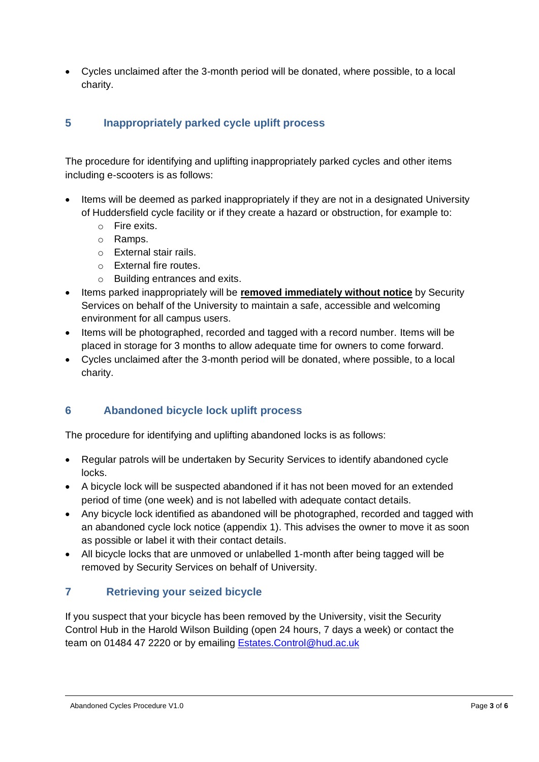• Cycles unclaimed after the 3-month period will be donated, where possible, to a local charity.

# **5 Inappropriately parked cycle uplift process**

The procedure for identifying and uplifting inappropriately parked cycles and other items including e-scooters is as follows:

- Items will be deemed as parked inappropriately if they are not in a designated University of Huddersfield cycle facility or if they create a hazard or obstruction, for example to:
	- o Fire exits.
	- o Ramps.
	- o External stair rails.
	- o External fire routes.
	- o Building entrances and exits.
- Items parked inappropriately will be **removed immediately without notice** by Security Services on behalf of the University to maintain a safe, accessible and welcoming environment for all campus users.
- Items will be photographed, recorded and tagged with a record number. Items will be placed in storage for 3 months to allow adequate time for owners to come forward.
- Cycles unclaimed after the 3-month period will be donated, where possible, to a local charity.

## **6 Abandoned bicycle lock uplift process**

The procedure for identifying and uplifting abandoned locks is as follows:

- Regular patrols will be undertaken by Security Services to identify abandoned cycle locks.
- A bicycle lock will be suspected abandoned if it has not been moved for an extended period of time (one week) and is not labelled with adequate contact details.
- Any bicycle lock identified as abandoned will be photographed, recorded and tagged with an abandoned cycle lock notice (appendix 1). This advises the owner to move it as soon as possible or label it with their contact details.
- All bicycle locks that are unmoved or unlabelled 1-month after being tagged will be removed by Security Services on behalf of University.

## **7 Retrieving your seized bicycle**

If you suspect that your bicycle has been removed by the University, visit the Security Control Hub in the Harold Wilson Building (open 24 hours, 7 days a week) or contact the team on 01484 47 2220 or by emailing **[Estates.Control@hud.ac.uk](mailto:Estates.Control@hud.ac.uk)**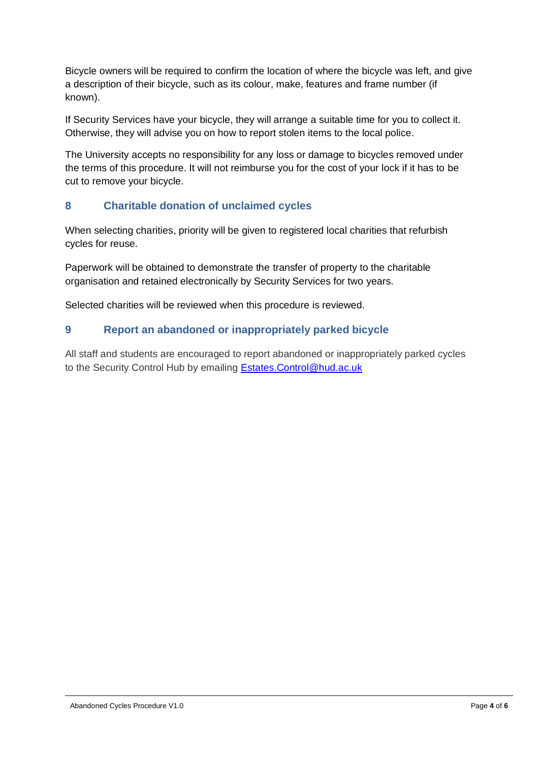Bicycle owners will be required to confirm the location of where the bicycle was left, and give a description of their bicycle, such as its colour, make, features and frame number (if known).

If Security Services have your bicycle, they will arrange a suitable time for you to collect it. Otherwise, they will advise you on how to report stolen items to the local police.

The University accepts no responsibility for any loss or damage to bicycles removed under the terms of this procedure. It will not reimburse you for the cost of your lock if it has to be cut to remove your bicycle.

## **8 Charitable donation of unclaimed cycles**

When selecting charities, priority will be given to registered local charities that refurbish cycles for reuse.

Paperwork will be obtained to demonstrate the transfer of property to the charitable organisation and retained electronically by Security Services for two years.

Selected charities will be reviewed when this procedure is reviewed.

# **9 Report an abandoned or inappropriately parked bicycle**

All staff and students are encouraged to report abandoned or inappropriately parked cycles to the Security Control Hub by emailing **Estates.Control@hud.ac.uk**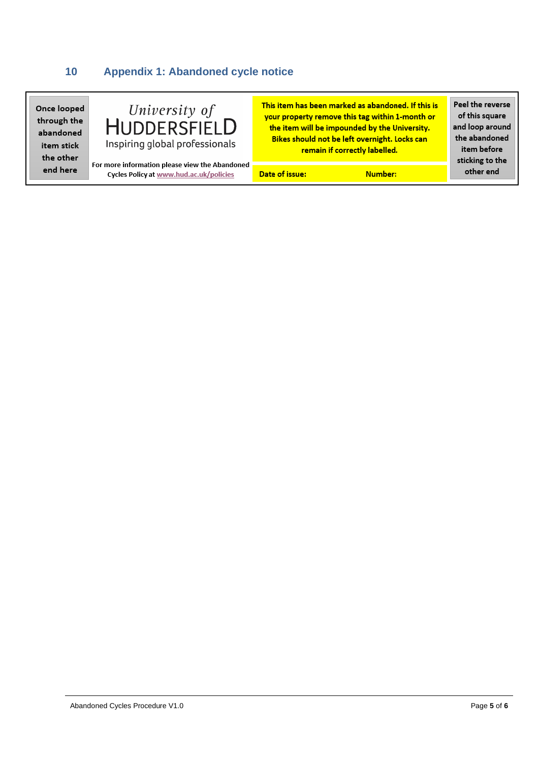# **10 Appendix 1: Abandoned cycle notice**

| Once looped<br>through the<br>abandoned<br>item stick<br>the other | University of<br><b>HUDDERSFIELD</b><br>Inspiring global professionals                    |                | This item has been marked as abandoned. If this is<br>your property remove this tag within 1-month or<br>the item will be impounded by the University.<br>Bikes should not be left overnight. Locks can<br>remain if correctly labelled. | Peel the reverse<br>of this square<br>and loop around<br>the abandoned<br>item before<br>sticking to the<br>other end |
|--------------------------------------------------------------------|-------------------------------------------------------------------------------------------|----------------|------------------------------------------------------------------------------------------------------------------------------------------------------------------------------------------------------------------------------------------|-----------------------------------------------------------------------------------------------------------------------|
| end here                                                           | For more information please view the Abandoned<br>Cycles Policy at www.hud.ac.uk/policies | Date of issue: | Number:                                                                                                                                                                                                                                  |                                                                                                                       |